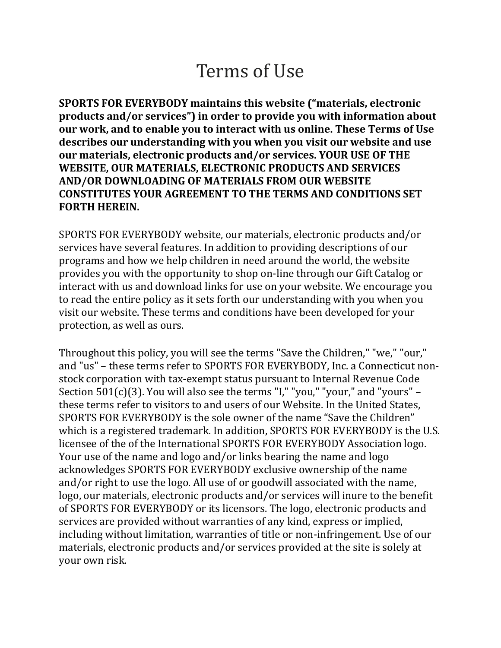# Terms of Use

SPORTS FOR EVERYBODY maintains this website ("materials, electronic products and/or services") in order to provide you with information about our work, and to enable you to interact with us online. These Terms of Use describes our understanding with you when you visit our website and use our materials, electronic products and/or services. YOUR USE OF THE WEBSITE, OUR MATERIALS, ELECTRONIC PRODUCTS AND SERVICES AND/OR DOWNLOADING OF MATERIALS FROM OUR WEBSITE CONSTITUTES YOUR AGREEMENT TO THE TERMS AND CONDITIONS SET FORTH HEREIN.

SPORTS FOR EVERYBODY website, our materials, electronic products and/or services have several features. In addition to providing descriptions of our programs and how we help children in need around the world, the website provides you with the opportunity to shop on-line through our Gift Catalog or interact with us and download links for use on your website. We encourage you to read the entire policy as it sets forth our understanding with you when you visit our website. These terms and conditions have been developed for your protection, as well as ours.

Throughout this policy, you will see the terms "Save the Children," "we," "our," and "us" – these terms refer to SPORTS FOR EVERYBODY, Inc. a Connecticut nonstock corporation with tax-exempt status pursuant to Internal Revenue Code Section 501(c)(3). You will also see the terms "I," "you," "your," and "yours" – these terms refer to visitors to and users of our Website. In the United States, SPORTS FOR EVERYBODY is the sole owner of the name "Save the Children" which is a registered trademark. In addition, SPORTS FOR EVERYBODY is the U.S. licensee of the of the International SPORTS FOR EVERYBODY Association logo. Your use of the name and logo and/or links bearing the name and logo acknowledges SPORTS FOR EVERYBODY exclusive ownership of the name and/or right to use the logo. All use of or goodwill associated with the name, logo, our materials, electronic products and/or services will inure to the benefit of SPORTS FOR EVERYBODY or its licensors. The logo, electronic products and services are provided without warranties of any kind, express or implied, including without limitation, warranties of title or non-infringement. Use of our materials, electronic products and/or services provided at the site is solely at your own risk.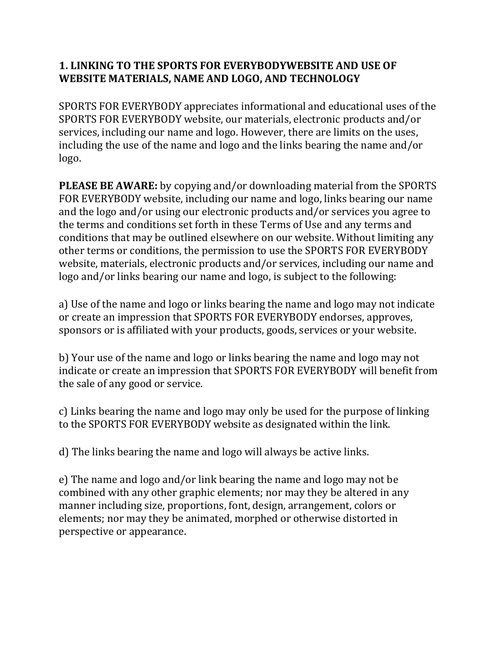### 1. LINKING TO THE SPORTS FOR EVERYBODYWEBSITE AND USE OF WEBSITE MATERIALS, NAME AND LOGO, AND TECHNOLOGY

SPORTS FOR EVERYBODY appreciates informational and educational uses of the SPORTS FOR EVERYBODY website, our materials, electronic products and/or services, including our name and logo. However, there are limits on the uses, including the use of the name and logo and the links bearing the name and/or logo.

PLEASE BE AWARE: by copying and/or downloading material from the SPORTS FOR EVERYBODY website, including our name and logo, links bearing our name and the logo and/or using our electronic products and/or services you agree to the terms and conditions set forth in these Terms of Use and any terms and conditions that may be outlined elsewhere on our website. Without limiting any other terms or conditions, the permission to use the SPORTS FOR EVERYBODY website, materials, electronic products and/or services, including our name and logo and/or links bearing our name and logo, is subject to the following:

a) Use of the name and logo or links bearing the name and logo may not indicate or create an impression that SPORTS FOR EVERYBODY endorses, approves, sponsors or is affiliated with your products, goods, services or your website.

b) Your use of the name and logo or links bearing the name and logo may not indicate or create an impression that SPORTS FOR EVERYBODY will benefit from the sale of any good or service.

c) Links bearing the name and logo may only be used for the purpose of linking to the SPORTS FOR EVERYBODY website as designated within the link.

d) The links bearing the name and logo will always be active links.

e) The name and logo and/or link bearing the name and logo may not be combined with any other graphic elements; nor may they be altered in any manner including size, proportions, font, design, arrangement, colors or elements; nor may they be animated, morphed or otherwise distorted in perspective or appearance.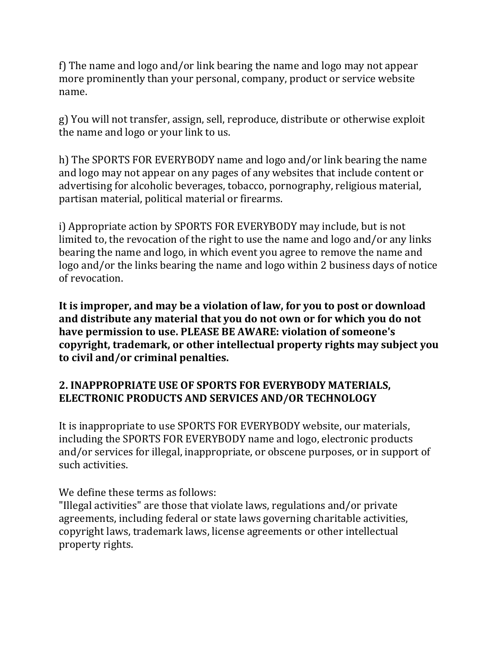f) The name and logo and/or link bearing the name and logo may not appear more prominently than your personal, company, product or service website name.

g) You will not transfer, assign, sell, reproduce, distribute or otherwise exploit the name and logo or your link to us.

h) The SPORTS FOR EVERYBODY name and logo and/or link bearing the name and logo may not appear on any pages of any websites that include content or advertising for alcoholic beverages, tobacco, pornography, religious material, partisan material, political material or firearms.

i) Appropriate action by SPORTS FOR EVERYBODY may include, but is not limited to, the revocation of the right to use the name and logo and/or any links bearing the name and logo, in which event you agree to remove the name and logo and/or the links bearing the name and logo within 2 business days of notice of revocation.

It is improper, and may be a violation of law, for you to post or download and distribute any material that you do not own or for which you do not have permission to use. PLEASE BE AWARE: violation of someone's copyright, trademark, or other intellectual property rights may subject you to civil and/or criminal penalties.

## 2. INAPPROPRIATE USE OF SPORTS FOR EVERYBODY MATERIALS, ELECTRONIC PRODUCTS AND SERVICES AND/OR TECHNOLOGY

It is inappropriate to use SPORTS FOR EVERYBODY website, our materials, including the SPORTS FOR EVERYBODY name and logo, electronic products and/or services for illegal, inappropriate, or obscene purposes, or in support of such activities.

We define these terms as follows:

"Illegal activities" are those that violate laws, regulations and/or private agreements, including federal or state laws governing charitable activities, copyright laws, trademark laws, license agreements or other intellectual property rights.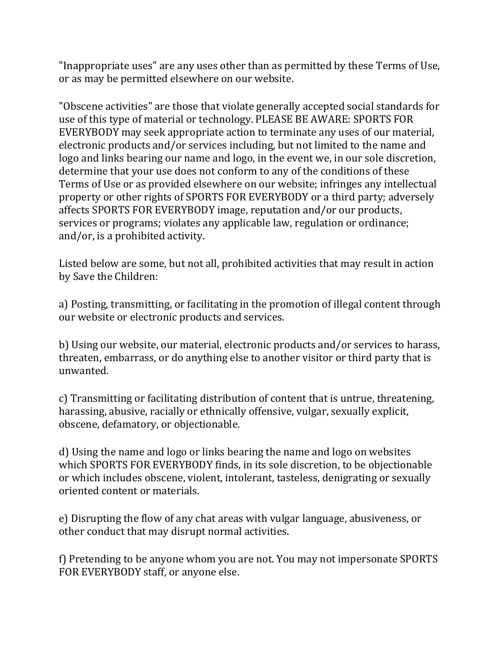"Inappropriate uses" are any uses other than as permitted by these Terms of Use, or as may be permitted elsewhere on our website.

"Obscene activities" are those that violate generally accepted social standards for use of this type of material or technology. PLEASE BE AWARE: SPORTS FOR EVERYBODY may seek appropriate action to terminate any uses of our material, electronic products and/or services including, but not limited to the name and logo and links bearing our name and logo, in the event we, in our sole discretion, determine that your use does not conform to any of the conditions of these Terms of Use or as provided elsewhere on our website; infringes any intellectual property or other rights of SPORTS FOR EVERYBODY or a third party; adversely affects SPORTS FOR EVERYBODY image, reputation and/or our products, services or programs; violates any applicable law, regulation or ordinance; and/or, is a prohibited activity.

Listed below are some, but not all, prohibited activities that may result in action by Save the Children:

a) Posting, transmitting, or facilitating in the promotion of illegal content through our website or electronic products and services.

b) Using our website, our material, electronic products and/or services to harass, threaten, embarrass, or do anything else to another visitor or third party that is unwanted.

c) Transmitting or facilitating distribution of content that is untrue, threatening, harassing, abusive, racially or ethnically offensive, vulgar, sexually explicit, obscene, defamatory, or objectionable.

d) Using the name and logo or links bearing the name and logo on websites which SPORTS FOR EVERYBODY finds, in its sole discretion, to be objectionable or which includes obscene, violent, intolerant, tasteless, denigrating or sexually oriented content or materials.

e) Disrupting the flow of any chat areas with vulgar language, abusiveness, or other conduct that may disrupt normal activities.

f) Pretending to be anyone whom you are not. You may not impersonate SPORTS FOR EVERYBODY staff, or anyone else.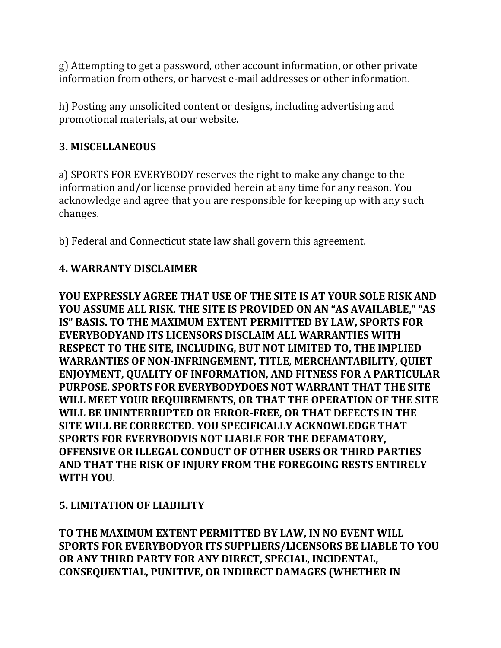g) Attempting to get a password, other account information, or other private information from others, or harvest e-mail addresses or other information.

h) Posting any unsolicited content or designs, including advertising and promotional materials, at our website.

### 3. MISCELLANEOUS

a) SPORTS FOR EVERYBODY reserves the right to make any change to the information and/or license provided herein at any time for any reason. You acknowledge and agree that you are responsible for keeping up with any such changes.

b) Federal and Connecticut state law shall govern this agreement.

#### 4. WARRANTY DISCLAIMER

YOU EXPRESSLY AGREE THAT USE OF THE SITE IS AT YOUR SOLE RISK AND YOU ASSUME ALL RISK. THE SITE IS PROVIDED ON AN "AS AVAILABLE," "AS IS" BASIS. TO THE MAXIMUM EXTENT PERMITTED BY LAW, SPORTS FOR EVERYBODYAND ITS LICENSORS DISCLAIM ALL WARRANTIES WITH RESPECT TO THE SITE, INCLUDING, BUT NOT LIMITED TO, THE IMPLIED WARRANTIES OF NON-INFRINGEMENT, TITLE, MERCHANTABILITY, QUIET ENJOYMENT, QUALITY OF INFORMATION, AND FITNESS FOR A PARTICULAR PURPOSE. SPORTS FOR EVERYBODYDOES NOT WARRANT THAT THE SITE WILL MEET YOUR REQUIREMENTS, OR THAT THE OPERATION OF THE SITE WILL BE UNINTERRUPTED OR ERROR-FREE, OR THAT DEFECTS IN THE SITE WILL BE CORRECTED. YOU SPECIFICALLY ACKNOWLEDGE THAT SPORTS FOR EVERYBODYIS NOT LIABLE FOR THE DEFAMATORY, OFFENSIVE OR ILLEGAL CONDUCT OF OTHER USERS OR THIRD PARTIES AND THAT THE RISK OF INJURY FROM THE FOREGOING RESTS ENTIRELY WITH YOU.

#### 5. LIMITATION OF LIABILITY

TO THE MAXIMUM EXTENT PERMITTED BY LAW, IN NO EVENT WILL SPORTS FOR EVERYBODYOR ITS SUPPLIERS/LICENSORS BE LIABLE TO YOU OR ANY THIRD PARTY FOR ANY DIRECT, SPECIAL, INCIDENTAL, CONSEQUENTIAL, PUNITIVE, OR INDIRECT DAMAGES (WHETHER IN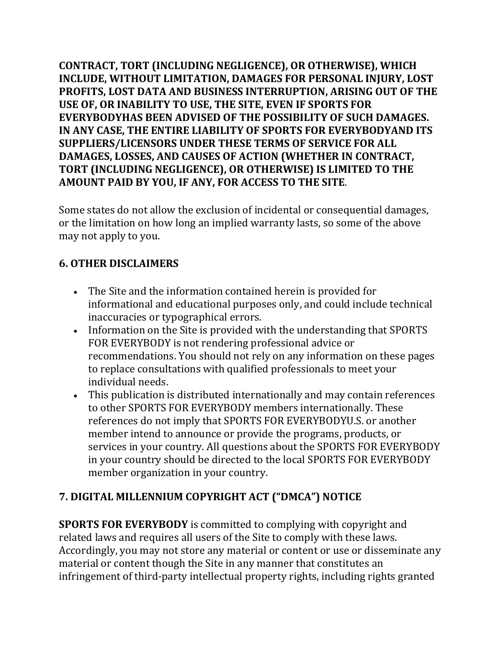CONTRACT, TORT (INCLUDING NEGLIGENCE), OR OTHERWISE), WHICH INCLUDE, WITHOUT LIMITATION, DAMAGES FOR PERSONAL INJURY, LOST PROFITS, LOST DATA AND BUSINESS INTERRUPTION, ARISING OUT OF THE USE OF, OR INABILITY TO USE, THE SITE, EVEN IF SPORTS FOR EVERYBODYHAS BEEN ADVISED OF THE POSSIBILITY OF SUCH DAMAGES. IN ANY CASE, THE ENTIRE LIABILITY OF SPORTS FOR EVERYBODYAND ITS SUPPLIERS/LICENSORS UNDER THESE TERMS OF SERVICE FOR ALL DAMAGES, LOSSES, AND CAUSES OF ACTION (WHETHER IN CONTRACT, TORT (INCLUDING NEGLIGENCE), OR OTHERWISE) IS LIMITED TO THE AMOUNT PAID BY YOU, IF ANY, FOR ACCESS TO THE SITE.

Some states do not allow the exclusion of incidental or consequential damages, or the limitation on how long an implied warranty lasts, so some of the above may not apply to you.

## 6. OTHER DISCLAIMERS

- The Site and the information contained herein is provided for informational and educational purposes only, and could include technical inaccuracies or typographical errors.
- Information on the Site is provided with the understanding that SPORTS FOR EVERYBODY is not rendering professional advice or recommendations. You should not rely on any information on these pages to replace consultations with qualified professionals to meet your individual needs.
- This publication is distributed internationally and may contain references to other SPORTS FOR EVERYBODY members internationally. These references do not imply that SPORTS FOR EVERYBODYU.S. or another member intend to announce or provide the programs, products, or services in your country. All questions about the SPORTS FOR EVERYBODY in your country should be directed to the local SPORTS FOR EVERYBODY member organization in your country.

## 7. DIGITAL MILLENNIUM COPYRIGHT ACT ("DMCA") NOTICE

SPORTS FOR EVERYBODY is committed to complying with copyright and related laws and requires all users of the Site to comply with these laws. Accordingly, you may not store any material or content or use or disseminate any material or content though the Site in any manner that constitutes an infringement of third-party intellectual property rights, including rights granted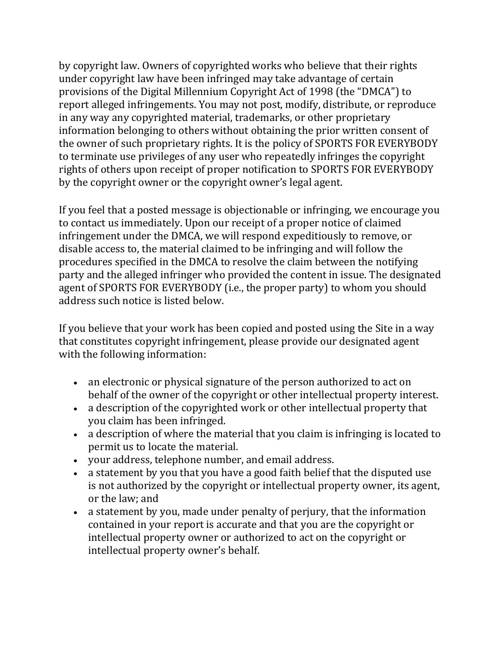by copyright law. Owners of copyrighted works who believe that their rights under copyright law have been infringed may take advantage of certain provisions of the Digital Millennium Copyright Act of 1998 (the "DMCA") to report alleged infringements. You may not post, modify, distribute, or reproduce in any way any copyrighted material, trademarks, or other proprietary information belonging to others without obtaining the prior written consent of the owner of such proprietary rights. It is the policy of SPORTS FOR EVERYBODY to terminate use privileges of any user who repeatedly infringes the copyright rights of others upon receipt of proper notification to SPORTS FOR EVERYBODY by the copyright owner or the copyright owner's legal agent.

If you feel that a posted message is objectionable or infringing, we encourage you to contact us immediately. Upon our receipt of a proper notice of claimed infringement under the DMCA, we will respond expeditiously to remove, or disable access to, the material claimed to be infringing and will follow the procedures specified in the DMCA to resolve the claim between the notifying party and the alleged infringer who provided the content in issue. The designated agent of SPORTS FOR EVERYBODY (i.e., the proper party) to whom you should address such notice is listed below.

If you believe that your work has been copied and posted using the Site in a way that constitutes copyright infringement, please provide our designated agent with the following information:

- an electronic or physical signature of the person authorized to act on behalf of the owner of the copyright or other intellectual property interest.
- a description of the copyrighted work or other intellectual property that you claim has been infringed.
- a description of where the material that you claim is infringing is located to permit us to locate the material.
- your address, telephone number, and email address.
- a statement by you that you have a good faith belief that the disputed use is not authorized by the copyright or intellectual property owner, its agent, or the law; and
- a statement by you, made under penalty of perjury, that the information contained in your report is accurate and that you are the copyright or intellectual property owner or authorized to act on the copyright or intellectual property owner's behalf.